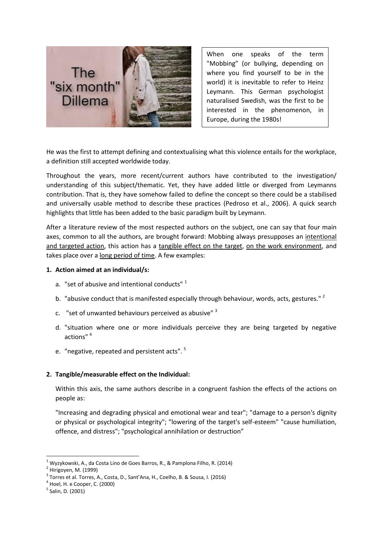

When one speaks of the term "Mobbing" (or bullying, depending on where you find yourself to be in the world) it is inevitable to refer to Heinz Leymann. This German psychologist naturalised Swedish, was the first to be interested in the phenomenon, in Europe, during the 1980s!

He was the first to attempt defining and contextualising what this violence entails for the workplace, a definition still accepted worldwide today.

Throughout the years, more recent/current authors have contributed to the investigation/ understanding of this subject/thematic. Yet, they have added little or diverged from Leymanns contribution. That is, they have somehow failed to define the concept so there could be a stabilised and universally usable method to describe these practices (Pedroso et al., 2006). A quick search highlights that little has been added to the basic paradigm built by Leymann.

After a literature review of the most respected authors on the subject, one can say that four main axes, common to all the authors, are brought forward: Mobbing always presupposes an intentional and targeted action, this action has a tangible effect on the target, on the work environment, and takes place over a long period of time. A few examples:

## **1. Action aimed at an individual/s:**

- a. "set of abusive and intentional conducts"<sup>1</sup>
- b. "abusive conduct that is manifested especially through behaviour, words, acts, gestures."<sup>2</sup>
- c. "set of unwanted behaviours perceived as abusive" <sup>3</sup>
- d. "situation where one or more individuals perceive they are being targeted by negative actions" <sup>4</sup>
- e. "negative, repeated and persistent acts". <sup>5</sup>

## **2. Tangible/measurable effect on the Individual:**

Within this axis, the same authors describe in a congruent fashion the effects of the actions on people as:

"Increasing and degrading physical and emotional wear and tear"; "damage to a person's dignity or physical or psychological integrity"; "lowering of the target's self-esteem" "cause humiliation, offence, and distress"; "psychological annihilation or destruction"

**.** 

 $1$  Wyzykowski, A., da Costa Lino de Goes Barros, R., & Pamplona Filho, R. (2014)

<sup>&</sup>lt;sup>2</sup> Hirigoyen, M. (1999)

<sup>&</sup>lt;sup>3</sup> Torres et al. Torres, A., Costa, D., Sant'Ana, H., Coelho, B. & Sousa, I. (2016)

 $^4$  Hoel, H. e Cooper, C. (2000)

<sup>&</sup>lt;sup>5</sup> Salin, D. (2001)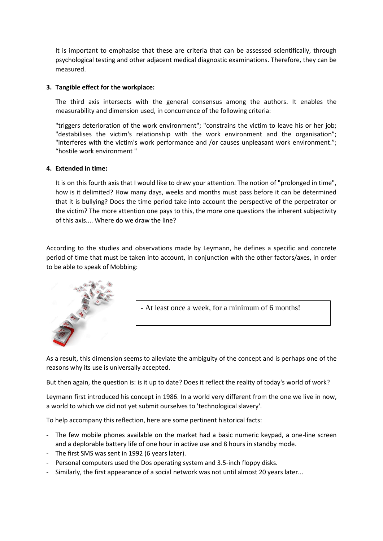It is important to emphasise that these are criteria that can be assessed scientifically, through psychological testing and other adjacent medical diagnostic examinations. Therefore, they can be measured.

## **3. Tangible effect for the workplace:**

The third axis intersects with the general consensus among the authors. It enables the measurability and dimension used, in concurrence of the following criteria:

"triggers deterioration of the work environment"; "constrains the victim to leave his or her job; "destabilises the victim's relationship with the work environment and the organisation"; "interferes with the victim's work performance and /or causes unpleasant work environment."; "hostile work environment "

## **4. Extended in time:**

It is on this fourth axis that I would like to draw your attention. The notion of "prolonged in time", how is it delimited? How many days, weeks and months must pass before it can be determined that it is bullying? Does the time period take into account the perspective of the perpetrator or the victim? The more attention one pays to this, the more one questions the inherent subjectivity of this axis.... Where do we draw the line?

According to the studies and observations made by Leymann, he defines a specific and concrete period of time that must be taken into account, in conjunction with the other factors/axes, in order to be able to speak of Mobbing:



- At least once a week, for a minimum of 6 months!

As a result, this dimension seems to alleviate the ambiguity of the concept and is perhaps one of the reasons why its use is universally accepted.

But then again, the question is: is it up to date? Does it reflect the reality of today's world of work?

Leymann first introduced his concept in 1986. In a world very different from the one we live in now, a world to which we did not yet submit ourselves to 'technological slavery'.

To help accompany this reflection, here are some pertinent historical facts:

- The few mobile phones available on the market had a basic numeric keypad, a one-line screen and a deplorable battery life of one hour in active use and 8 hours in standby mode.
- The first SMS was sent in 1992 (6 years later).
- Personal computers used the Dos operating system and 3.5-inch floppy disks.
- Similarly, the first appearance of a social network was not until almost 20 years later...